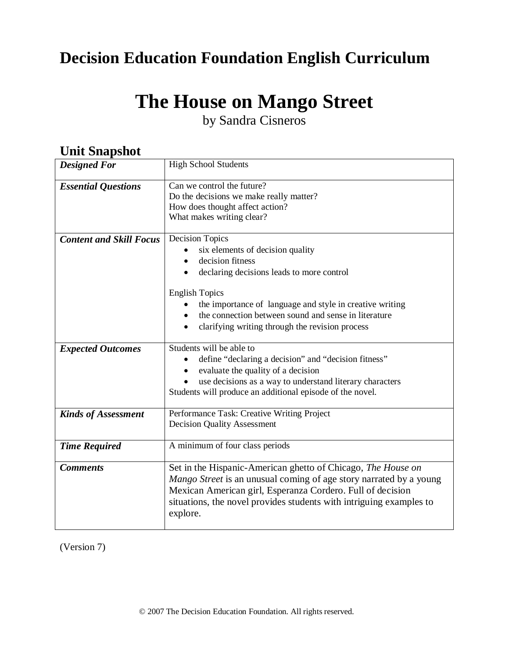## **Decision Education Foundation English Curriculum**

# **The House on Mango Street**

by Sandra Cisneros

| они энаряюс                    |                                                                                                                                                                                                                                                                                     |
|--------------------------------|-------------------------------------------------------------------------------------------------------------------------------------------------------------------------------------------------------------------------------------------------------------------------------------|
| <b>Designed For</b>            | <b>High School Students</b>                                                                                                                                                                                                                                                         |
| <b>Essential Questions</b>     | Can we control the future?<br>Do the decisions we make really matter?<br>How does thought affect action?<br>What makes writing clear?                                                                                                                                               |
| <b>Content and Skill Focus</b> | Decision Topics<br>six elements of decision quality<br>decision fitness<br>declaring decisions leads to more control                                                                                                                                                                |
|                                | <b>English Topics</b><br>the importance of language and style in creative writing<br>the connection between sound and sense in literature<br>clarifying writing through the revision process                                                                                        |
| <b>Expected Outcomes</b>       | Students will be able to<br>define "declaring a decision" and "decision fitness"<br>evaluate the quality of a decision<br>use decisions as a way to understand literary characters<br>Students will produce an additional episode of the novel.                                     |
| <b>Kinds of Assessment</b>     | Performance Task: Creative Writing Project<br><b>Decision Quality Assessment</b>                                                                                                                                                                                                    |
| <b>Time Required</b>           | A minimum of four class periods                                                                                                                                                                                                                                                     |
| <b>Comments</b>                | Set in the Hispanic-American ghetto of Chicago, The House on<br>Mango Street is an unusual coming of age story narrated by a young<br>Mexican American girl, Esperanza Cordero. Full of decision<br>situations, the novel provides students with intriguing examples to<br>explore. |

## **Unit Snanshot**

(Version 7)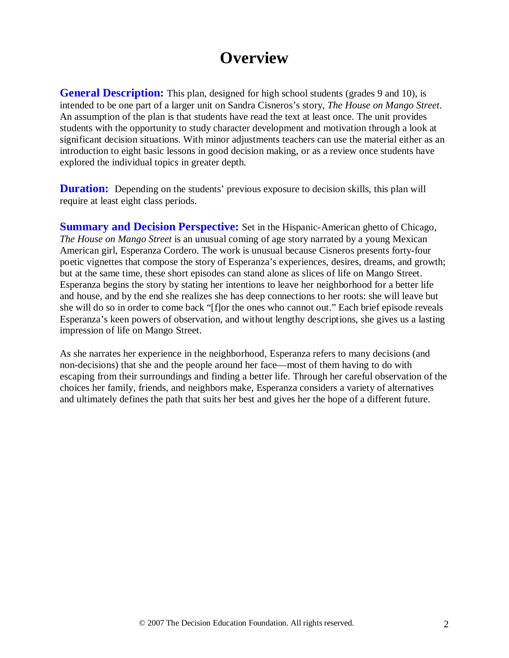## **Overview**

**General Description:** This plan, designed for high school students (grades 9 and 10), is intended to be one part of a larger unit on Sandra Cisneros's story, *The House on Mango Street*. An assumption of the plan is that students have read the text at least once. The unit provides students with the opportunity to study character development and motivation through a look at significant decision situations. With minor adjustments teachers can use the material either as an introduction to eight basic lessons in good decision making, or as a review once students have explored the individual topics in greater depth.

**Duration:** Depending on the students' previous exposure to decision skills, this plan will require at least eight class periods.

**Summary and Decision Perspective:** Set in the Hispanic-American ghetto of Chicago, *The House on Mango Street* is an unusual coming of age story narrated by a young Mexican American girl, Esperanza Cordero. The work is unusual because Cisneros presents forty-four poetic vignettes that compose the story of Esperanza's experiences, desires, dreams, and growth; but at the same time, these short episodes can stand alone as slices of life on Mango Street. Esperanza begins the story by stating her intentions to leave her neighborhood for a better life and house, and by the end she realizes she has deep connections to her roots: she will leave but she will do so in order to come back "[f]or the ones who cannot out." Each brief episode reveals Esperanza's keen powers of observation, and without lengthy descriptions, she gives us a lasting impression of life on Mango Street.

As she narrates her experience in the neighborhood, Esperanza refers to many decisions (and non-decisions) that she and the people around her face—most of them having to do with escaping from their surroundings and finding a better life. Through her careful observation of the choices her family, friends, and neighbors make, Esperanza considers a variety of alternatives and ultimately defines the path that suits her best and gives her the hope of a different future.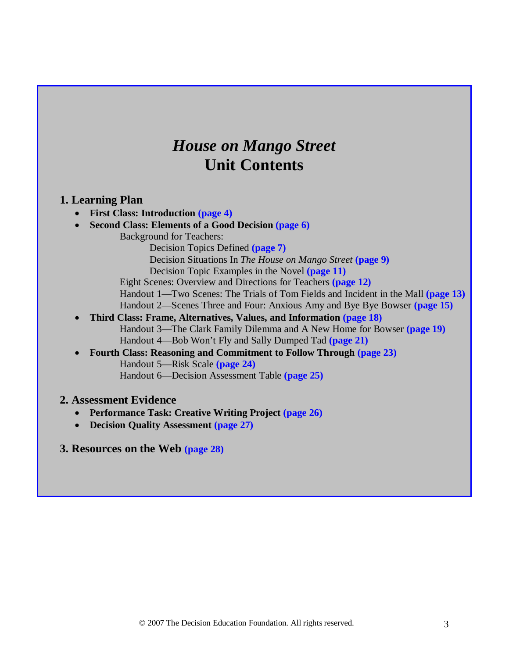## *House on Mango Street* **Unit Contents**

## **1. Learning Plan**

- **First Class: Introduction (page 4)**
- **Second Class: Elements of a Good Decision (page 6)**
	- Background for Teachers:
		- Decision Topics Defined **(page 7)**
		- Decision Situations In *The House on Mango Street* **(page 9)**
		- Decision Topic Examples in the Novel **(page 11)**
	- Eight Scenes: Overview and Directions for Teachers **(page 12)**
	- Handout 1—Two Scenes: The Trials of Tom Fields and Incident in the Mall **(page 13)** Handout 2—Scenes Three and Four: Anxious Amy and Bye Bye Bowser **(page 15)**
- **Third Class: Frame, Alternatives, Values, and Information (page 18)** Handout 3—The Clark Family Dilemma and A New Home for Bowser **(page 19)** Handout 4—Bob Won't Fly and Sally Dumped Tad **(page 21)**
- **Fourth Class: Reasoning and Commitment to Follow Through (page 23)** Handout 5—Risk Scale **(page 24)** Handout 6—Decision Assessment Table **(page 25)**

### **2. Assessment Evidence**

- **Performance Task: Creative Writing Project (page 26)**
- **Decision Quality Assessment (page 27)**

### **3. Resources on the Web (page 28)**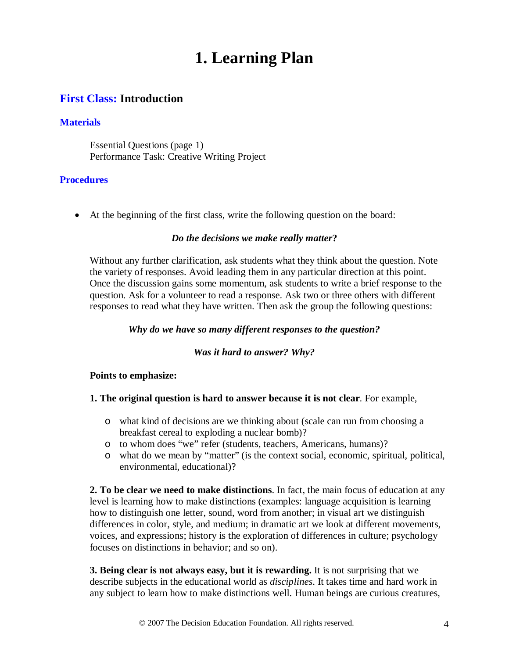## **1. Learning Plan**

## **First Class: Introduction**

### **Materials**

Essential Questions (page 1) Performance Task: Creative Writing Project

### **Procedures**

• At the beginning of the first class, write the following question on the board:

### *Do the decisions we make really matter***?**

Without any further clarification, ask students what they think about the question. Note the variety of responses. Avoid leading them in any particular direction at this point. Once the discussion gains some momentum, ask students to write a brief response to the question. Ask for a volunteer to read a response. Ask two or three others with different responses to read what they have written. Then ask the group the following questions:

#### *Why do we have so many different responses to the question?*

#### *Was it hard to answer? Why?*

#### **Points to emphasize:**

#### **1. The original question is hard to answer because it is not clear**. For example,

- o what kind of decisions are we thinking about (scale can run from choosing a breakfast cereal to exploding a nuclear bomb)?
- o to whom does "we" refer (students, teachers, Americans, humans)?
- o what do we mean by "matter" (is the context social, economic, spiritual, political, environmental, educational)?

**2. To be clear we need to make distinctions**. In fact, the main focus of education at any level is learning how to make distinctions (examples: language acquisition is learning how to distinguish one letter, sound, word from another; in visual art we distinguish differences in color, style, and medium; in dramatic art we look at different movements, voices, and expressions; history is the exploration of differences in culture; psychology focuses on distinctions in behavior; and so on).

**3. Being clear is not always easy, but it is rewarding.** It is not surprising that we describe subjects in the educational world as *disciplines*. It takes time and hard work in any subject to learn how to make distinctions well. Human beings are curious creatures,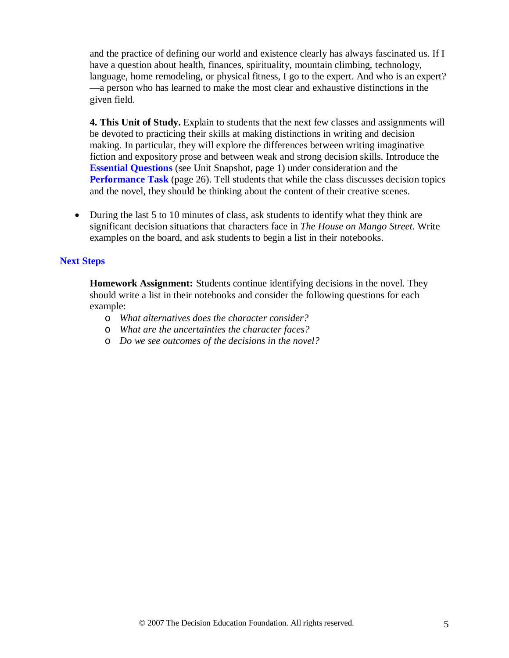and the practice of defining our world and existence clearly has always fascinated us. If I have a question about health, finances, spirituality, mountain climbing, technology, language, home remodeling, or physical fitness, I go to the expert. And who is an expert? —a person who has learned to make the most clear and exhaustive distinctions in the given field.

**4. This Unit of Study.** Explain to students that the next few classes and assignments will be devoted to practicing their skills at making distinctions in writing and decision making. In particular, they will explore the differences between writing imaginative fiction and expository prose and between weak and strong decision skills. Introduce the **Essential Questions** (see Unit Snapshot, page 1) under consideration and the **Performance Task** (page 26). Tell students that while the class discusses decision topics and the novel, they should be thinking about the content of their creative scenes.

• During the last 5 to 10 minutes of class, ask students to identify what they think are significant decision situations that characters face in *The House on Mango Street.* Write examples on the board, and ask students to begin a list in their notebooks.

### **Next Steps**

**Homework Assignment:** Students continue identifying decisions in the novel. They should write a list in their notebooks and consider the following questions for each example:

- o *What alternatives does the character consider?*
- o *What are the uncertainties the character faces?*
- o *Do we see outcomes of the decisions in the novel?*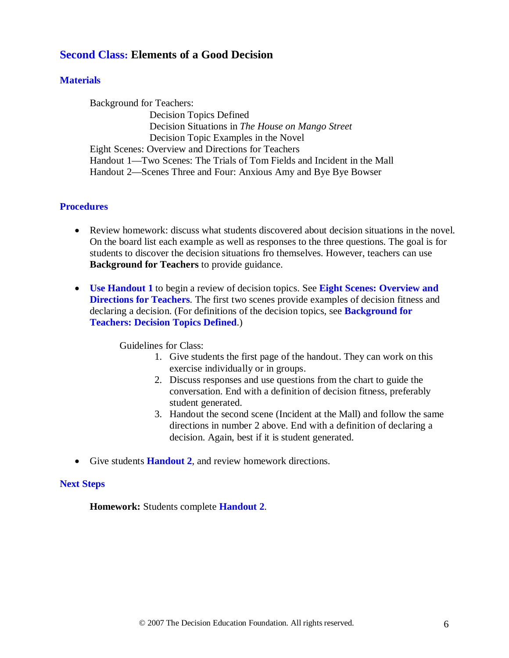## **Second Class: Elements of a Good Decision**

### **Materials**

Background for Teachers: Decision Topics Defined Decision Situations in *The House on Mango Street* Decision Topic Examples in the Novel Eight Scenes: Overview and Directions for Teachers Handout 1—Two Scenes: The Trials of Tom Fields and Incident in the Mall Handout 2—Scenes Three and Four: Anxious Amy and Bye Bye Bowser

#### **Procedures**

- Review homework: discuss what students discovered about decision situations in the novel. On the board list each example as well as responses to the three questions. The goal is for students to discover the decision situations fro themselves. However, teachers can use **Background for Teachers** to provide guidance.
- **Use Handout 1** to begin a review of decision topics. See **Eight Scenes: Overview and Directions for Teachers**. The first two scenes provide examples of decision fitness and declaring a decision. (For definitions of the decision topics, see **Background for Teachers: Decision Topics Defined**.)

Guidelines for Class:

- 1. Give students the first page of the handout. They can work on this exercise individually or in groups.
- 2. Discuss responses and use questions from the chart to guide the conversation. End with a definition of decision fitness, preferably student generated.
- 3. Handout the second scene (Incident at the Mall) and follow the same directions in number 2 above. End with a definition of declaring a decision. Again, best if it is student generated.
- Give students **Handout 2**, and review homework directions.

#### **Next Steps**

**Homework:** Students complete **Handout 2**.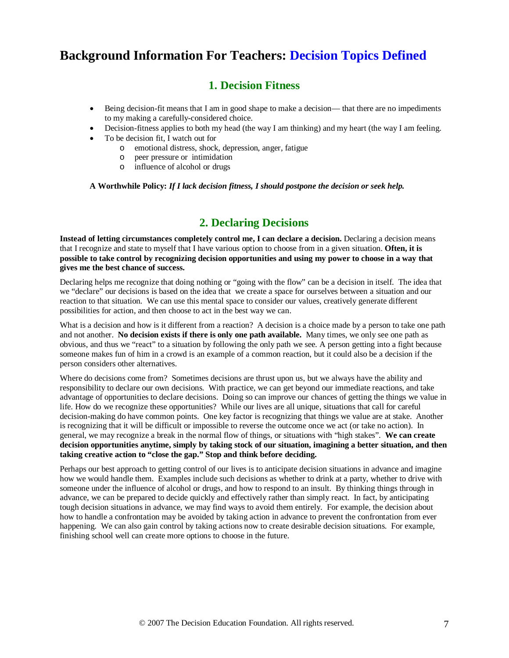## **Background Information For Teachers: Decision Topics Defined**

## **1. Decision Fitness**

- Being decision-fit means that I am in good shape to make a decision— that there are no impediments to my making a carefully-considered choice.
- Decision-fitness applies to both my head (the way I am thinking) and my heart (the way I am feeling.
- To be decision fit, I watch out for
	- o emotional distress, shock, depression, anger, fatigue
	- o peer pressure or intimidation
	- o influence of alcohol or drugs

**A Worthwhile Policy:** *If I lack decision fitness, I should postpone the decision or seek help.*

## **2. Declaring Decisions**

**Instead of letting circumstances completely control me, I can declare a decision.** Declaring a decision means that I recognize and state to myself that I have various option to choose from in a given situation. **Often, it is possible to take control by recognizing decision opportunities and using my power to choose in a way that gives me the best chance of success.** 

Declaring helps me recognize that doing nothing or "going with the flow" can be a decision in itself. The idea that we "declare" our decisions is based on the idea that we create a space for ourselves between a situation and our reaction to that situation. We can use this mental space to consider our values, creatively generate different possibilities for action, and then choose to act in the best way we can.

What is a decision and how is it different from a reaction? A decision is a choice made by a person to take one path and not another. **No decision exists if there is only one path available.** Many times, we only see one path as obvious, and thus we "react" to a situation by following the only path we see. A person getting into a fight because someone makes fun of him in a crowd is an example of a common reaction, but it could also be a decision if the person considers other alternatives.

Where do decisions come from? Sometimes decisions are thrust upon us, but we always have the ability and responsibility to declare our own decisions. With practice, we can get beyond our immediate reactions, and take advantage of opportunities to declare decisions. Doing so can improve our chances of getting the things we value in life. How do we recognize these opportunities? While our lives are all unique, situations that call for careful decision-making do have common points. One key factor is recognizing that things we value are at stake. Another is recognizing that it will be difficult or impossible to reverse the outcome once we act (or take no action). In general, we may recognize a break in the normal flow of things, or situations with "high stakes". **We can create decision opportunities anytime, simply by taking stock of our situation, imagining a better situation, and then taking creative action to "close the gap." Stop and think before deciding.**

Perhaps our best approach to getting control of our lives is to anticipate decision situations in advance and imagine how we would handle them. Examples include such decisions as whether to drink at a party, whether to drive with someone under the influence of alcohol or drugs, and how to respond to an insult. By thinking things through in advance, we can be prepared to decide quickly and effectively rather than simply react. In fact, by anticipating tough decision situations in advance, we may find ways to avoid them entirely. For example, the decision about how to handle a confrontation may be avoided by taking action in advance to prevent the confrontation from ever happening. We can also gain control by taking actions now to create desirable decision situations. For example, finishing school well can create more options to choose in the future.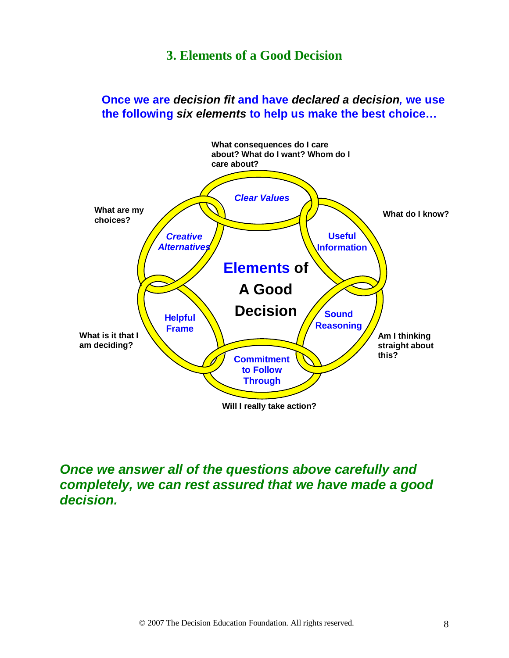## **3. Elements of a Good Decision**

**Once we are** *decision fit* **and have** *declared a decision,* **we use the following** *six elements* **to help us make the best choice…**



## *Once we answer all of the questions above carefully and completely, we can rest assured that we have made a good decision.*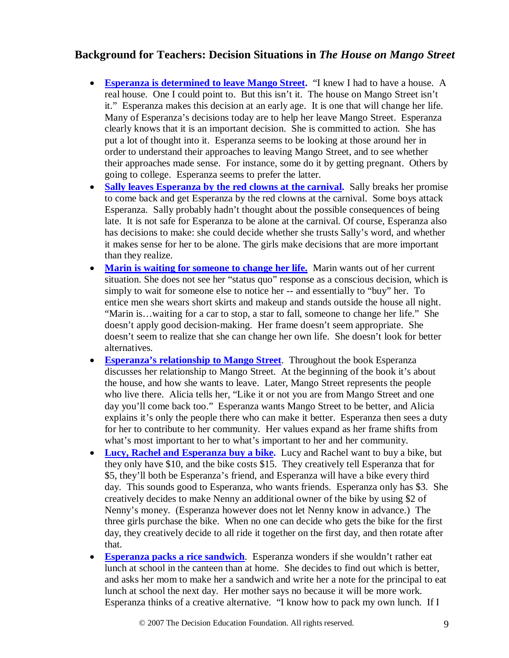## **Background for Teachers: Decision Situations in** *The House on Mango Street*

- Esperanza is determined to leave Mango Street. "I knew I had to have a house. A real house. One I could point to. But this isn't it. The house on Mango Street isn't it." Esperanza makes this decision at an early age. It is one that will change her life. Many of Esperanza's decisions today are to help her leave Mango Street. Esperanza clearly knows that it is an important decision. She is committed to action. She has put a lot of thought into it. Esperanza seems to be looking at those around her in order to understand their approaches to leaving Mango Street, and to see whether their approaches made sense. For instance, some do it by getting pregnant. Others by going to college. Esperanza seems to prefer the latter.
- **Sally leaves Esperanza by the red clowns at the carnival.** Sally breaks her promise to come back and get Esperanza by the red clowns at the carnival. Some boys attack Esperanza. Sally probably hadn't thought about the possible consequences of being late. It is not safe for Esperanza to be alone at the carnival. Of course, Esperanza also has decisions to make: she could decide whether she trusts Sally's word, and whether it makes sense for her to be alone. The girls make decisions that are more important than they realize.
- Marin is waiting for someone to change her life. Marin wants out of her current situation. She does not see her "status quo" response as a conscious decision, which is simply to wait for someone else to notice her -- and essentially to "buy" her. To entice men she wears short skirts and makeup and stands outside the house all night. "Marin is…waiting for a car to stop, a star to fall, someone to change her life." She doesn't apply good decision-making. Her frame doesn't seem appropriate. She doesn't seem to realize that she can change her own life. She doesn't look for better alternatives.
- **Esperanza's relationship to Mango Street** . Throughout the book Esperanza discusses her relationship to Mango Street. At the beginning of the book it's about the house, and how she wants to leave. Later, Mango Street represents the people who live there. Alicia tells her, "Like it or not you are from Mango Street and one day you'll come back too." Esperanza wants Mango Street to be better, and Alicia explains it's only the people there who can make it better. Esperanza then sees a duty for her to contribute to her community. Her values expand as her frame shifts from what's most important to her to what's important to her and her community.
- **Lucy, Rachel and Esperanza buy a bike.** Lucy and Rachel want to buy a bike, but they only have \$10, and the bike costs \$15. They creatively tell Esperanza that for \$5, they'll both be Esperanza's friend, and Esperanza will have a bike every third day. This sounds good to Esperanza, who wants friends. Esperanza only has \$3. She creatively decides to make Nenny an additional owner of the bike by using \$2 of Nenny's money. (Esperanza however does not let Nenny know in advance.) The three girls purchase the bike. When no one can decide who gets the bike for the first day, they creatively decide to all ride it together on the first day, and then rotate after that.
- **Esperanza packs a rice sandwich**. Esperanza wonders if she wouldn't rather eat lunch at school in the canteen than at home. She decides to find out which is better, and asks her mom to make her a sandwich and write her a note for the principal to eat lunch at school the next day. Her mother says no because it will be more work. Esperanza thinks of a creative alternative. "I know how to pack my own lunch. If I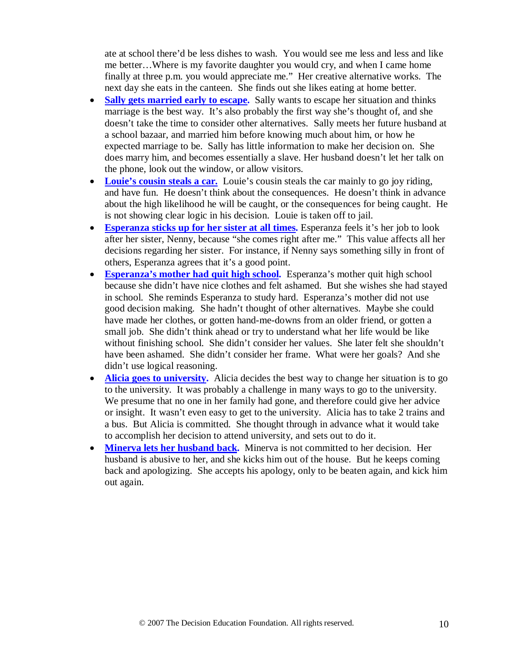ate at school there'd be less dishes to wash. You would see me less and less and like me better…Where is my favorite daughter you would cry, and when I came home finally at three p.m. you would appreciate me." Her creative alternative works. The next day she eats in the canteen. She finds out she likes eating at home better.

- **Sally gets married early to escape.** Sally wants to escape her situation and thinks marriage is the best way. It's also probably the first way she's thought of, and she doesn't take the time to consider other alternatives. Sally meets her future husband at a school bazaar, and married him before knowing much about him, or how he expected marriage to be. Sally has little information to make her decision on. She does marry him, and becomes essentially a slave. Her husband doesn't let her talk on the phone, look out the window, or allow visitors.
- Louie's cousin steals a car. Louie's cousin steals the car mainly to go joy riding, and have fun. He doesn't think about the consequences. He doesn't think in advance about the high likelihood he will be caught, or the consequences for being caught. He is not showing clear logic in his decision. Louie is taken off to jail.
- Esperanza sticks up for her sister at all times. Esperanza feels it's her job to look after her sister, Nenny, because "she comes right after me." This value affects all her decisions regarding her sister. For instance, if Nenny says something silly in front of others, Esperanza agrees that it's a good point.
- **Esperanza's mother had quit high school.** Esperanza's mother quit high school because she didn't have nice clothes and felt ashamed. But she wishes she had stayed in school. She reminds Esperanza to study hard. Esperanza's mother did not use good decision making. She hadn't thought of other alternatives. Maybe she could have made her clothes, or gotten hand-me-downs from an older friend, or gotten a small job. She didn't think ahead or try to understand what her life would be like without finishing school. She didn't consider her values. She later felt she shouldn't have been ashamed. She didn't consider her frame. What were her goals? And she didn't use logical reasoning.
- **Alicia goes to university.** Alicia decides the best way to change her situation is to go to the university. It was probably a challenge in many ways to go to the university. We presume that no one in her family had gone, and therefore could give her advice or insight. It wasn't even easy to get to the university. Alicia has to take 2 trains and a bus. But Alicia is committed. She thought through in advance what it would take to accomplish her decision to attend university, and sets out to do it.
- **Minerva lets her husband back.** Minerva is not committed to her decision. Her husband is abusive to her, and she kicks him out of the house. But he keeps coming back and apologizing. She accepts his apology, only to be beaten again, and kick him out again.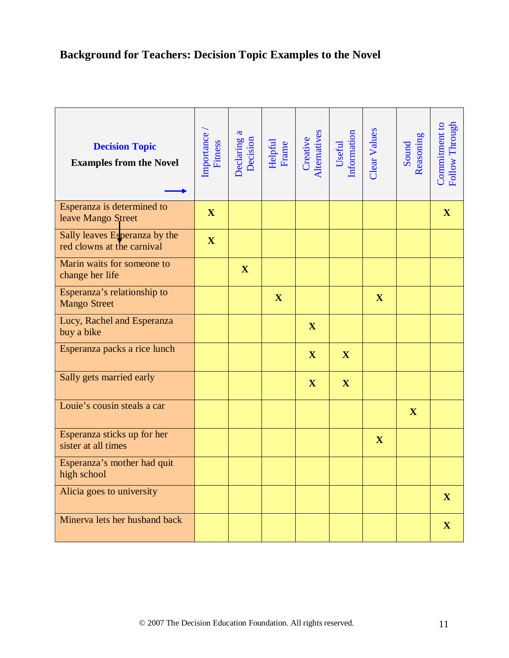## **Background for Teachers: Decision Topic Examples to the Novel**

| <b>Decision Topic</b><br><b>Examples from the Novel</b>     | Importance<br>Fitness | $\mathfrak{a}$<br>Declaring a<br>Decision | Helpful<br>Frame | Alternatives<br>Creative | Useful<br>Information | Clear Values | Reasoning<br>Sound | Follow Through<br>Commitment to |
|-------------------------------------------------------------|-----------------------|-------------------------------------------|------------------|--------------------------|-----------------------|--------------|--------------------|---------------------------------|
| Esperanza is determined to<br>leave Mango Street            | $\mathbf X$           |                                           |                  |                          |                       |              |                    | $\mathbf X$                     |
| Sally leaves Esperanza by the<br>red clowns at the carnival | $\mathbf X$           |                                           |                  |                          |                       |              |                    |                                 |
| Marin waits for someone to<br>change her life               |                       | $\mathbf{X}$                              |                  |                          |                       |              |                    |                                 |
| Esperanza's relationship to<br><b>Mango Street</b>          |                       |                                           | $\mathbf X$      |                          |                       | $\mathbf X$  |                    |                                 |
| Lucy, Rachel and Esperanza<br>buy a bike                    |                       |                                           |                  | $\mathbf{X}$             |                       |              |                    |                                 |
| Esperanza packs a rice lunch                                |                       |                                           |                  | $\mathbf X$              | $\mathbf{X}$          |              |                    |                                 |
| Sally gets married early                                    |                       |                                           |                  | $\mathbf X$              | $\mathbf{X}$          |              |                    |                                 |
| Louie's cousin steals a car                                 |                       |                                           |                  |                          |                       |              | $\mathbf{X}$       |                                 |
| Esperanza sticks up for her<br>sister at all times          |                       |                                           |                  |                          |                       | $\mathbf X$  |                    |                                 |
| Esperanza's mother had quit<br>high school                  |                       |                                           |                  |                          |                       |              |                    |                                 |
| Alicia goes to university                                   |                       |                                           |                  |                          |                       |              |                    | $\mathbf{X}$                    |
| Minerva lets her husband back                               |                       |                                           |                  |                          |                       |              |                    | $\mathbf{X}$                    |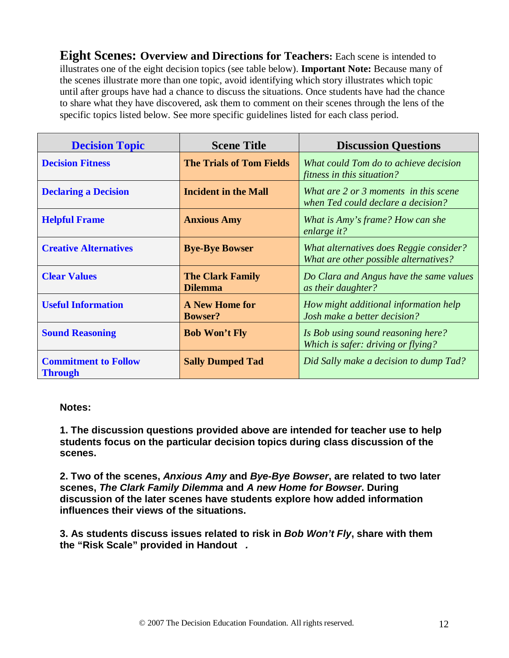**Eight Scenes: Overview and Directions for Teachers:** Each scene is intended to illustrates one of the eight decision topics (see table below). **Important Note:** Because many of the scenes illustrate more than one topic, avoid identifying which story illustrates which topic until after groups have had a chance to discuss the situations. Once students have had the chance to share what they have discovered, ask them to comment on their scenes through the lens of the specific topics listed below. See more specific guidelines listed for each class period.

| <b>Decision Topic</b>                         | <b>Scene Title</b>                        | <b>Discussion Questions</b>                                                      |
|-----------------------------------------------|-------------------------------------------|----------------------------------------------------------------------------------|
| <b>Decision Fitness</b>                       | <b>The Trials of Tom Fields</b>           | What could Tom do to achieve decision<br>fitness in this situation?              |
| <b>Declaring a Decision</b>                   | <b>Incident in the Mall</b>               | What are 2 or 3 moments in this scene<br>when Ted could declare a decision?      |
| <b>Helpful Frame</b>                          | <b>Anxious Amy</b>                        | What is Amy's frame? How can she<br>enlarge it?                                  |
| <b>Creative Alternatives</b>                  | <b>Bye-Bye Bowser</b>                     | What alternatives does Reggie consider?<br>What are other possible alternatives? |
| <b>Clear Values</b>                           | <b>The Clark Family</b><br><b>Dilemma</b> | Do Clara and Angus have the same values<br>as their daughter?                    |
| <b>Useful Information</b>                     | <b>A New Home for</b><br><b>Bowser?</b>   | How might additional information help<br>Josh make a better decision?            |
| <b>Sound Reasoning</b>                        | <b>Bob Won't Fly</b>                      | Is Bob using sound reasoning here?<br>Which is safer: driving or flying?         |
| <b>Commitment to Follow</b><br><b>Through</b> | <b>Sally Dumped Tad</b>                   | Did Sally make a decision to dump Tad?                                           |

#### **Notes:**

**1. The discussion questions provided above are intended for teacher use to help students focus on the particular decision topics during class discussion of the scenes.**

**2. Two of the scenes,** *Anxious Amy* **and** *Bye-Bye Bowser***, are related to two later scenes,** *The Clark Family Dilemma* **and** *A new Home for Bowser***. During discussion of the later scenes have students explore how added information influences their views of the situations.**

**3. As students discuss issues related to risk in** *Bob Won't Fly***, share with them the "Risk Scale" provided in Handout** *.*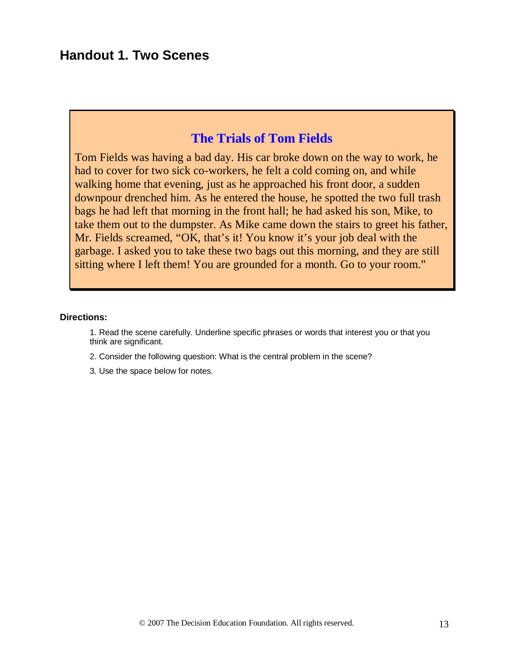## **Handout 1. Two Scenes**

## **The Trials of Tom Fields**

Tom Fields was having a bad day. His car broke down on the way to work, he had to cover for two sick co-workers, he felt a cold coming on, and while walking home that evening, just as he approached his front door, a sudden downpour drenched him. As he entered the house, he spotted the two full trash bags he had left that morning in the front hall; he had asked his son, Mike, to take them out to the dumpster. As Mike came down the stairs to greet his father, Mr. Fields screamed, "OK, that's it! You know it's your job deal with the garbage. I asked you to take these two bags out this morning, and they are still sitting where I left them! You are grounded for a month. Go to your room."

#### **Directions:**

1. Read the scene carefully. Underline specific phrases or words that interest you or that you think are significant.

- 2. Consider the following question: What is the central problem in the scene?
- 3. Use the space below for notes.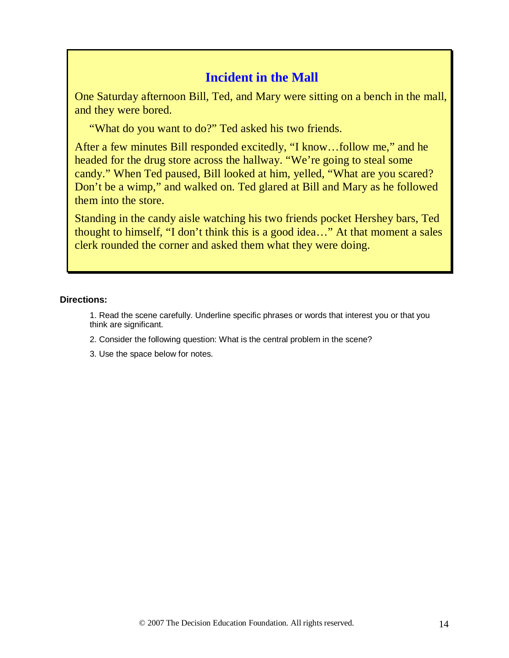## **Incident in the Mall**

One Saturday afternoon Bill, Ted, and Mary were sitting on a bench in the mall, and they were bored.

"What do you want to do?" Ted asked his two friends.

After a few minutes Bill responded excitedly, "I know…follow me," and he headed for the drug store across the hallway. "We're going to steal some candy." When Ted paused, Bill looked at him, yelled, "What are you scared? Don't be a wimp," and walked on. Ted glared at Bill and Mary as he followed them into the store.

Standing in the candy aisle watching his two friends pocket Hershey bars, Ted thought to himself, "I don't think this is a good idea…" At that moment a sales clerk rounded the corner and asked them what they were doing.

### **Directions:**

1. Read the scene carefully. Underline specific phrases or words that interest you or that you think are significant.

- 2. Consider the following question: What is the central problem in the scene?
- 3. Use the space below for notes.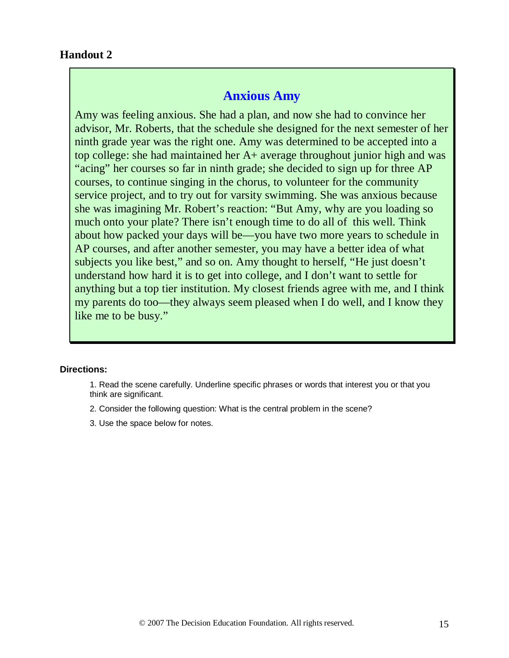## **Anxious Amy**

Amy was feeling anxious. She had a plan, and now she had to convince her advisor, Mr. Roberts, that the schedule she designed for the next semester of her ninth grade year was the right one. Amy was determined to be accepted into a top college: she had maintained her A+ average throughout junior high and was "acing" her courses so far in ninth grade; she decided to sign up for three AP courses, to continue singing in the chorus, to volunteer for the community service project, and to try out for varsity swimming. She was anxious because she was imagining Mr. Robert's reaction: "But Amy, why are you loading so much onto your plate? There isn't enough time to do all of this well. Think about how packed your days will be—you have two more years to schedule in AP courses, and after another semester, you may have a better idea of what subjects you like best," and so on. Amy thought to herself, "He just doesn't understand how hard it is to get into college, and I don't want to settle for anything but a top tier institution. My closest friends agree with me, and I think my parents do too—they always seem pleased when I do well, and I know they like me to be busy."

#### **Directions:**

- 1. Read the scene carefully. Underline specific phrases or words that interest you or that you think are significant.
- 2. Consider the following question: What is the central problem in the scene?
- 3. Use the space below for notes.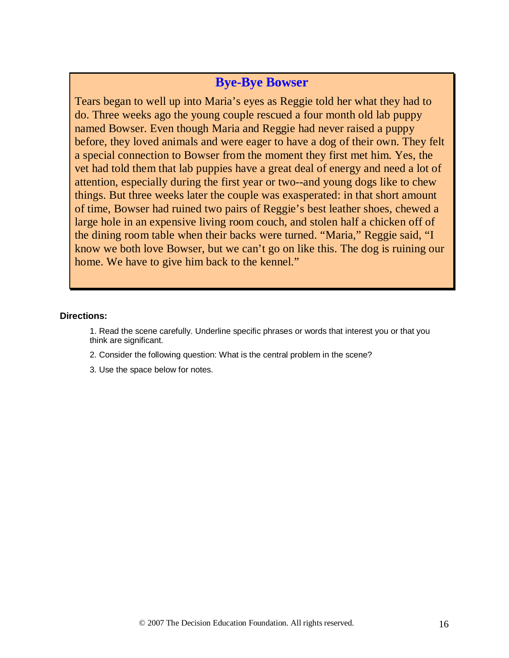## **Bye-Bye Bowser**

Tears began to well up into Maria's eyes as Reggie told her what they had to do. Three weeks ago the young couple rescued a four month old lab puppy named Bowser. Even though Maria and Reggie had never raised a puppy before, they loved animals and were eager to have a dog of their own. They felt a special connection to Bowser from the moment they first met him. Yes, the vet had told them that lab puppies have a great deal of energy and need a lot of attention, especially during the first year or two--and young dogs like to chew things. But three weeks later the couple was exasperated: in that short amount of time, Bowser had ruined two pairs of Reggie's best leather shoes, chewed a large hole in an expensive living room couch, and stolen half a chicken off of the dining room table when their backs were turned. "Maria," Reggie said, "I know we both love Bowser, but we can't go on like this. The dog is ruining our home. We have to give him back to the kennel."

#### **Directions:**

1. Read the scene carefully. Underline specific phrases or words that interest you or that you think are significant.

- 2. Consider the following question: What is the central problem in the scene?
- 3. Use the space below for notes.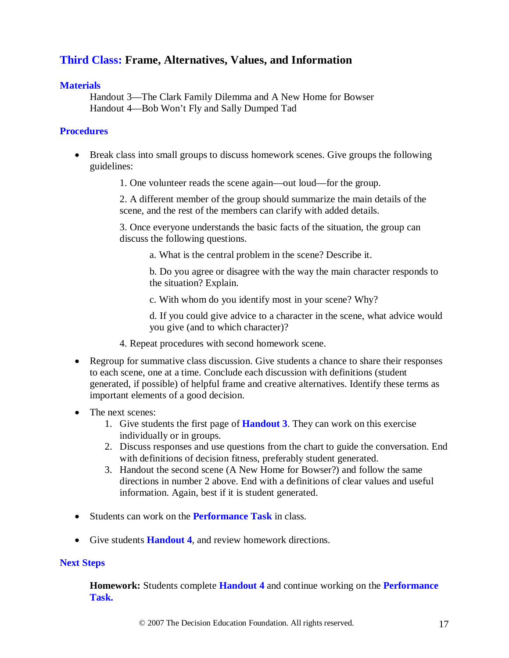## **Third Class: Frame, Alternatives, Values, and Information**

#### **Materials**

Handout 3—The Clark Family Dilemma and A New Home for Bowser Handout 4—Bob Won't Fly and Sally Dumped Tad

#### **Procedures**

- Break class into small groups to discuss homework scenes. Give groups the following guidelines:
	- 1. One volunteer reads the scene again—out loud—for the group.

2. A different member of the group should summarize the main details of the scene, and the rest of the members can clarify with added details.

3. Once everyone understands the basic facts of the situation, the group can discuss the following questions.

a. What is the central problem in the scene? Describe it.

b. Do you agree or disagree with the way the main character responds to the situation? Explain.

c. With whom do you identify most in your scene? Why?

d. If you could give advice to a character in the scene, what advice would you give (and to which character)?

- 4. Repeat procedures with second homework scene.
- Regroup for summative class discussion. Give students a chance to share their responses to each scene, one at a time. Conclude each discussion with definitions (student generated, if possible) of helpful frame and creative alternatives. Identify these terms as important elements of a good decision.
- The next scenes:
	- 1. Give students the first page of **Handout 3**. They can work on this exercise individually or in groups.
	- 2. Discuss responses and use questions from the chart to guide the conversation. End with definitions of decision fitness, preferably student generated.
	- 3. Handout the second scene (A New Home for Bowser?) and follow the same directions in number 2 above. End with a definitions of clear values and useful information. Again, best if it is student generated.
- Students can work on the **Performance Task** in class.
- Give students **Handout 4**, and review homework directions.

#### **Next Steps**

**Homework:** Students complete **Handout 4** and continue working on the **Performance Task.**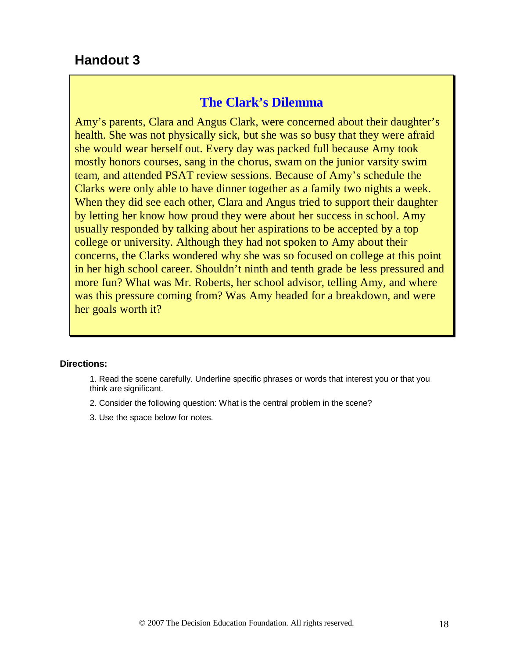## **Handout 3**

## **The Clark's Dilemma**

Amy's parents, Clara and Angus Clark, were concerned about their daughter's health. She was not physically sick, but she was so busy that they were afraid she would wear herself out. Every day was packed full because Amy took mostly honors courses, sang in the chorus, swam on the junior varsity swim team, and attended PSAT review sessions. Because of Amy's schedule the Clarks were only able to have dinner together as a family two nights a week. When they did see each other, Clara and Angus tried to support their daughter by letting her know how proud they were about her success in school. Amy usually responded by talking about her aspirations to be accepted by a top college or university. Although they had not spoken to Amy about their concerns, the Clarks wondered why she was so focused on college at this point in her high school career. Shouldn't ninth and tenth grade be less pressured and more fun? What was Mr. Roberts, her school advisor, telling Amy, and where was this pressure coming from? Was Amy headed for a breakdown, and were her goals worth it?

#### **Directions:**

- 1. Read the scene carefully. Underline specific phrases or words that interest you or that you think are significant.
- 2. Consider the following question: What is the central problem in the scene?
- 3. Use the space below for notes.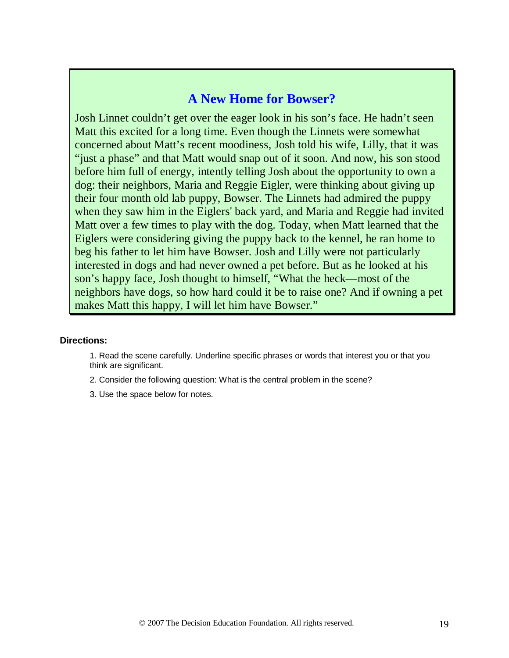## **A New Home for Bowser?**

Josh Linnet couldn't get over the eager look in his son's face. He hadn't seen Matt this excited for a long time. Even though the Linnets were somewhat concerned about Matt's recent moodiness, Josh told his wife, Lilly, that it was "just a phase" and that Matt would snap out of it soon. And now, his son stood before him full of energy, intently telling Josh about the opportunity to own a dog: their neighbors, Maria and Reggie Eigler, were thinking about giving up their four month old lab puppy, Bowser. The Linnets had admired the puppy when they saw him in the Eiglers' back yard, and Maria and Reggie had invited Matt over a few times to play with the dog. Today, when Matt learned that the Eiglers were considering giving the puppy back to the kennel, he ran home to beg his father to let him have Bowser. Josh and Lilly were not particularly interested in dogs and had never owned a pet before. But as he looked at his son's happy face, Josh thought to himself, "What the heck—most of the neighbors have dogs, so how hard could it be to raise one? And if owning a pet makes Matt this happy, I will let him have Bowser."

#### **Directions:**

- 1. Read the scene carefully. Underline specific phrases or words that interest you or that you think are significant.
- 2. Consider the following question: What is the central problem in the scene?
- 3. Use the space below for notes.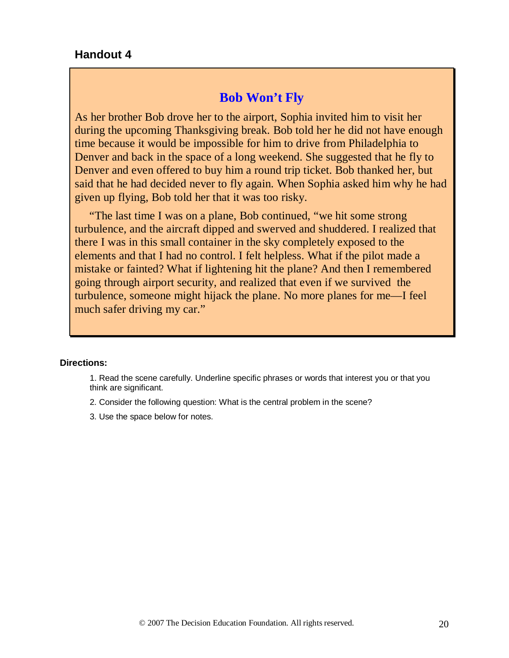### **Handout 4**

## **Bob Won't Fly**

As her brother Bob drove her to the airport, Sophia invited him to visit her during the upcoming Thanksgiving break. Bob told her he did not have enough time because it would be impossible for him to drive from Philadelphia to Denver and back in the space of a long weekend. She suggested that he fly to Denver and even offered to buy him a round trip ticket. Bob thanked her, but said that he had decided never to fly again. When Sophia asked him why he had given up flying, Bob told her that it was too risky.

 "The last time I was on a plane, Bob continued, "we hit some strong turbulence, and the aircraft dipped and swerved and shuddered. I realized that there I was in this small container in the sky completely exposed to the elements and that I had no control. I felt helpless. What if the pilot made a mistake or fainted? What if lightening hit the plane? And then I remembered going through airport security, and realized that even if we survived the turbulence, someone might hijack the plane. No more planes for me—I feel much safer driving my car."

#### **Directions:**

1. Read the scene carefully. Underline specific phrases or words that interest you or that you think are significant.

- 2. Consider the following question: What is the central problem in the scene?
- 3. Use the space below for notes.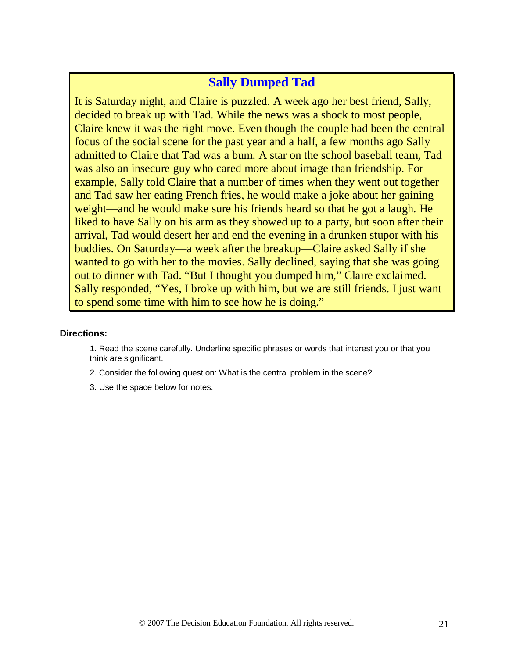## **Sally Dumped Tad**

It is Saturday night, and Claire is puzzled. A week ago her best friend, Sally, decided to break up with Tad. While the news was a shock to most people, Claire knew it was the right move. Even though the couple had been the central focus of the social scene for the past year and a half, a few months ago Sally admitted to Claire that Tad was a bum. A star on the school baseball team, Tad was also an insecure guy who cared more about image than friendship. For example, Sally told Claire that a number of times when they went out together and Tad saw her eating French fries, he would make a joke about her gaining weight—and he would make sure his friends heard so that he got a laugh. He liked to have Sally on his arm as they showed up to a party, but soon after their arrival, Tad would desert her and end the evening in a drunken stupor with his buddies. On Saturday—a week after the breakup—Claire asked Sally if she wanted to go with her to the movies. Sally declined, saying that she was going out to dinner with Tad. "But I thought you dumped him," Claire exclaimed. Sally responded, "Yes, I broke up with him, but we are still friends. I just want to spend some time with him to see how he is doing."

#### **Directions:**

- 1. Read the scene carefully. Underline specific phrases or words that interest you or that you think are significant.
- 2. Consider the following question: What is the central problem in the scene?
- 3. Use the space below for notes.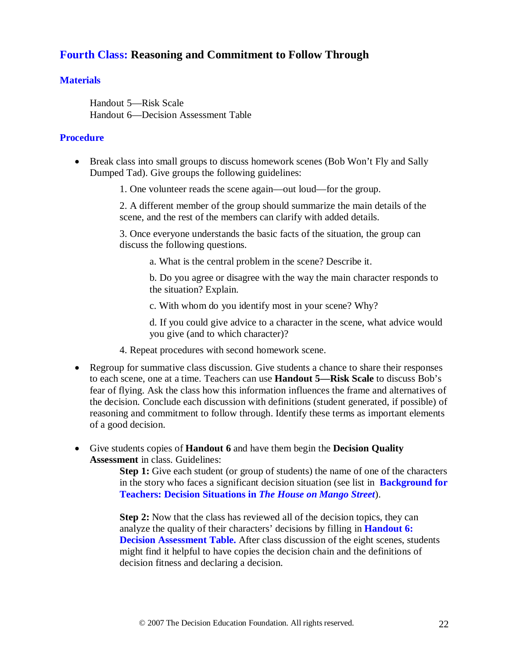## **Fourth Class: Reasoning and Commitment to Follow Through**

### **Materials**

Handout 5—Risk Scale Handout 6—Decision Assessment Table

### **Procedure**

- Break class into small groups to discuss homework scenes (Bob Won't Fly and Sally Dumped Tad). Give groups the following guidelines:
	- 1. One volunteer reads the scene again—out loud—for the group.

2. A different member of the group should summarize the main details of the scene, and the rest of the members can clarify with added details.

3. Once everyone understands the basic facts of the situation, the group can discuss the following questions.

a. What is the central problem in the scene? Describe it.

b. Do you agree or disagree with the way the main character responds to the situation? Explain.

c. With whom do you identify most in your scene? Why?

d. If you could give advice to a character in the scene, what advice would you give (and to which character)?

- 4. Repeat procedures with second homework scene.
- Regroup for summative class discussion. Give students a chance to share their responses to each scene, one at a time. Teachers can use **Handout 5—Risk Scale** to discuss Bob's fear of flying. Ask the class how this information influences the frame and alternatives of the decision. Conclude each discussion with definitions (student generated, if possible) of reasoning and commitment to follow through. Identify these terms as important elements of a good decision.
- Give students copies of **Handout 6** and have them begin the **Decision Quality Assessment** in class. Guidelines:

**Step 1:** Give each student (or group of students) the name of one of the characters in the story who faces a significant decision situation (see list in **Background for Teachers: Decision Situations in** *The House on Mango Street*).

**Step 2:** Now that the class has reviewed all of the decision topics, they can analyze the quality of their characters' decisions by filling in **Handout 6: Decision Assessment Table.** After class discussion of the eight scenes, students might find it helpful to have copies the decision chain and the definitions of decision fitness and declaring a decision.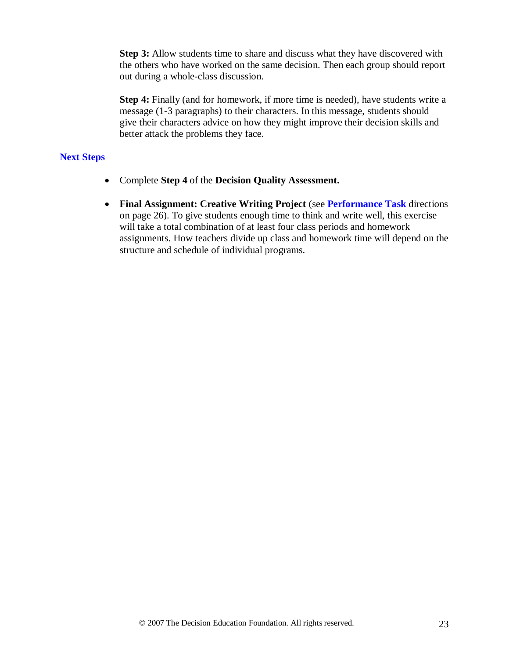**Step 3:** Allow students time to share and discuss what they have discovered with the others who have worked on the same decision. Then each group should report out during a whole-class discussion.

**Step 4:** Finally (and for homework, if more time is needed), have students write a message (1-3 paragraphs) to their characters. In this message, students should give their characters advice on how they might improve their decision skills and better attack the problems they face.

#### **Next Steps**

- Complete **Step 4** of the **Decision Quality Assessment.**
- **Final Assignment: Creative Writing Project** (see **Performance Task** directions on page 26). To give students enough time to think and write well, this exercise will take a total combination of at least four class periods and homework assignments. How teachers divide up class and homework time will depend on the structure and schedule of individual programs.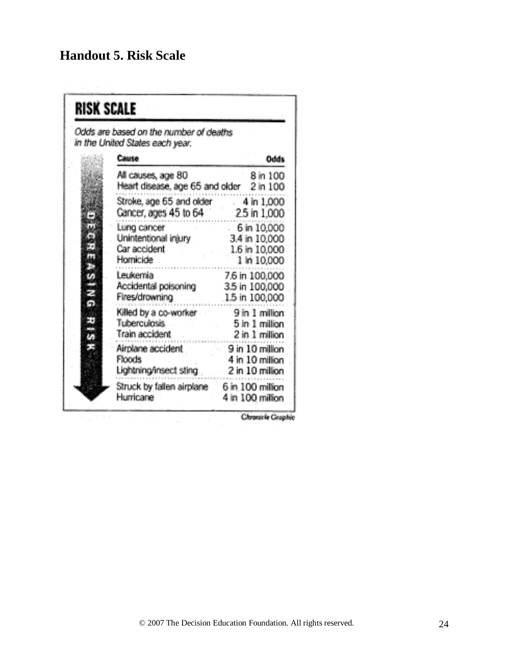## **Handout 5. Risk Scale**

| <b>RISK SCALE</b> | Odds are based on the number of deaths                                              |                                                                     |
|-------------------|-------------------------------------------------------------------------------------|---------------------------------------------------------------------|
|                   | in the United States each year.                                                     |                                                                     |
|                   | Cause                                                                               | Odds                                                                |
|                   | All causes, age 80<br>Heart disease, age 65 and older 2 in 100                      | 8 in 100                                                            |
|                   | Stroke, age 65 and older 4 in 1,000<br>Cancer, ages 45 to 64 25 in 1,000            |                                                                     |
|                   | Lung cancer<br>Unintentional injury<br>Car accident<br>Homicide <sup>1</sup>        | $-6$ in $10,000$<br>3.4 in 10,000<br>1.6 in 10,000<br>1 in 10,000   |
|                   | Leukemia<br>Accidental poisoning 3.5 in 100,000<br>Fires/drowning<br>ng<br>Malaysia | 7.6 in 100,000<br>1.5 in 100,000                                    |
|                   | Killed by a co-worker<br>and the<br><b>Tuberculosis</b><br>Train accident           | 9 in 1 million<br>5 in 1 million<br>2 in 1 million                  |
|                   | Airolane accident<br>Floods.<br>Lightning/insect sting                              | $\approx 9$ in 10 million<br>$4$ in $10$ million<br>2 in 10 million |
|                   | Struck by fallen airplane 6 in 100 million<br>Humicane                              | 4 in 100 million                                                    |

Chronicle Graphic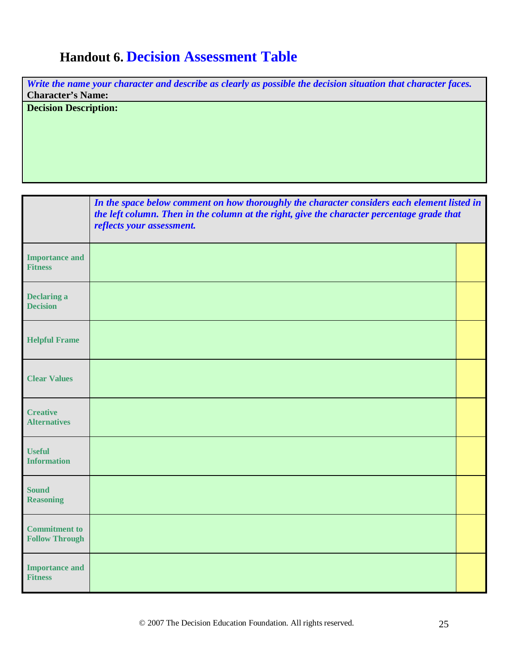## **Handout 6. Decision Assessment Table**

*Write the name your character and describe as clearly as possible the decision situation that character faces.* **Character's Name:** 

**Decision Description:**

|                                               | In the space below comment on how thoroughly the character considers each element listed in<br>the left column. Then in the column at the right, give the character percentage grade that<br>reflects your assessment. |  |  |
|-----------------------------------------------|------------------------------------------------------------------------------------------------------------------------------------------------------------------------------------------------------------------------|--|--|
| <b>Importance and</b><br><b>Fitness</b>       |                                                                                                                                                                                                                        |  |  |
| <b>Declaring a</b><br><b>Decision</b>         |                                                                                                                                                                                                                        |  |  |
| <b>Helpful Frame</b>                          |                                                                                                                                                                                                                        |  |  |
| <b>Clear Values</b>                           |                                                                                                                                                                                                                        |  |  |
| <b>Creative</b><br><b>Alternatives</b>        |                                                                                                                                                                                                                        |  |  |
| <b>Useful</b><br><b>Information</b>           |                                                                                                                                                                                                                        |  |  |
| <b>Sound</b><br><b>Reasoning</b>              |                                                                                                                                                                                                                        |  |  |
| <b>Commitment to</b><br><b>Follow Through</b> |                                                                                                                                                                                                                        |  |  |
| <b>Importance and</b><br><b>Fitness</b>       |                                                                                                                                                                                                                        |  |  |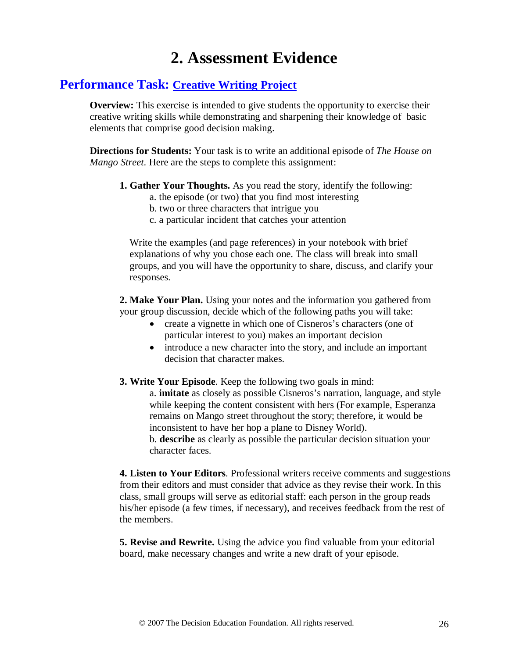## **2. Assessment Evidence**

## **Performance Task: Creative Writing Project**

**Overview:** This exercise is intended to give students the opportunity to exercise their creative writing skills while demonstrating and sharpening their knowledge of basic elements that comprise good decision making.

**Directions for Students:** Your task is to write an additional episode of *The House on Mango Street*. Here are the steps to complete this assignment:

- **1. Gather Your Thoughts.** As you read the story, identify the following:
	- a. the episode (or two) that you find most interesting
	- b. two or three characters that intrigue you
	- c. a particular incident that catches your attention

Write the examples (and page references) in your notebook with brief explanations of why you chose each one. The class will break into small groups, and you will have the opportunity to share, discuss, and clarify your responses.

**2. Make Your Plan.** Using your notes and the information you gathered from your group discussion, decide which of the following paths you will take:

- create a vignette in which one of Cisneros's characters (one of particular interest to you) makes an important decision
- introduce a new character into the story, and include an important decision that character makes.
- **3. Write Your Episode**. Keep the following two goals in mind:

a. **imitate** as closely as possible Cisneros's narration, language, and style while keeping the content consistent with hers (For example, Esperanza remains on Mango street throughout the story; therefore, it would be inconsistent to have her hop a plane to Disney World). b. **describe** as clearly as possible the particular decision situation your character faces.

**4. Listen to Your Editors**. Professional writers receive comments and suggestions from their editors and must consider that advice as they revise their work. In this class, small groups will serve as editorial staff: each person in the group reads his/her episode (a few times, if necessary), and receives feedback from the rest of the members.

**5. Revise and Rewrite.** Using the advice you find valuable from your editorial board, make necessary changes and write a new draft of your episode.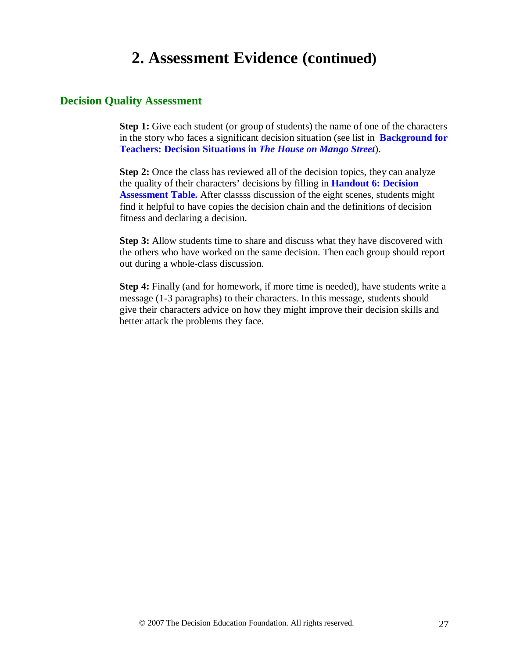## **2. Assessment Evidence (continued)**

### **Decision Quality Assessment**

**Step 1:** Give each student (or group of students) the name of one of the characters in the story who faces a significant decision situation (see list in **Background for Teachers: Decision Situations in** *The House on Mango Street*).

**Step 2:** Once the class has reviewed all of the decision topics, they can analyze the quality of their characters' decisions by filling in **Handout 6: Decision Assessment Table.** After classss discussion of the eight scenes, students might find it helpful to have copies the decision chain and the definitions of decision fitness and declaring a decision.

**Step 3:** Allow students time to share and discuss what they have discovered with the others who have worked on the same decision. Then each group should report out during a whole-class discussion.

**Step 4:** Finally (and for homework, if more time is needed), have students write a message (1-3 paragraphs) to their characters. In this message, students should give their characters advice on how they might improve their decision skills and better attack the problems they face.